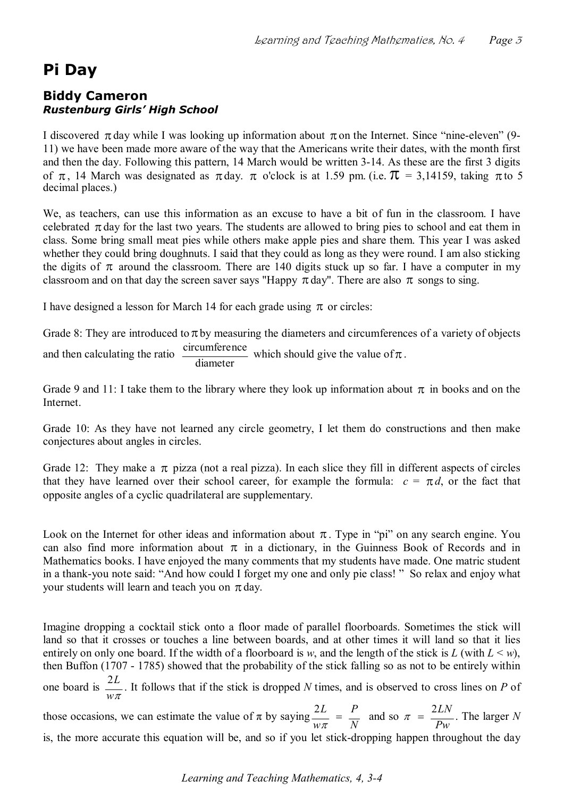## **Pi Day**

## **Biddy Cameron** *Rustenburg Girls' High School*

I discovered  $\pi$  day while I was looking up information about  $\pi$  on the Internet. Since "nine-eleven" (9-11) we have been made more aware of the way that the Americans write their dates, with the month first and then the day. Following this pattern, 14 March would be written 3-14. As these are the first 3 digits of  $\pi$ , 14 March was designated as  $\pi$  day.  $\pi$  o'clock is at 1.59 pm. (i.e.  $\pi$  = 3,14159, taking  $\pi$  to 5 decimal places.)

We, as teachers, can use this information as an excuse to have a bit of fun in the classroom. I have celebrated  $\pi$  day for the last two years. The students are allowed to bring pies to school and eat them in class. Some bring small meat pies while others make apple pies and share them. This year I was asked whether they could bring doughnuts. I said that they could as long as they were round. I am also sticking the digits of whether they could bring doughnuts. I said that they could as long as they were round. I am also sticking classroom and on that day the screen saver says "Happy  $\pi$  day". There are also  $\pi$  songs to sing.

I have designed a lesson for March 14 for each grade using  $\pi$  or circles:

Grade 8: They are introduced to  $\pi$  by measuring the diameters and circumferences of a variety of objects and then calculating the ratio  $\frac{\text{circumference}}{\text{diameter}}$  which should give the value of  $\pi$ .

Grade 9 and 11: I take them to the library where they look up information about  $\pi$  in books and on the **Internet** 

Grade 10: As they have not learned any circle geometry, I let them do constructions and then make conjectures about angles in circles.

Grade 12: They make a  $\pi$  pizza (not a real pizza). In each slice they fill in different aspects of circles that they have learned over their school career, for example the formula:  $c = \pi d$ , or the fact that opposite angles of a cyclic quadrilateral are supplementary.

Look on the Internet for other ideas and information about  $\pi$ . Type in "pi" on any search engine. You can also find more information about  $\pi$  in a dictionary, in the Guinness Book of Records and in Mathematics books. I have enjoyed the many comments that my students have made. One matric student in a thank-you note said: "And how could I forget my one and only pie class!" So relax and enjoy what your students will learn and teach you on  $\pi$  day.

Imagine dropping a cocktail stick onto a floor made of parallel floorboards. Sometimes the stick will<br>land so that it crosses or touches a line between boards, and at other times it will land so that it lies Imagine dropping a cocktail stick onto a floor made of parallel floorboards. Sometimes the stick will land so that it crosses or touches a line between boards, and at other times it will land so that it lies entirely on o Imagine dropping a cocktail stick onto a floor made of parallel floorboards. Sometimes the stick will land so that it crosses or touches a line between boards, and at other times it will land so that it lies entirely on o then Buffon (1707 - 1785) showed that the probability of the stick falling so as not to be entirely within one board is  $\frac{2}{x}$  $w\pi$ *<sup>L</sup>*<sup>2</sup> . It follows that if the stick is dropped *N* times, and is observed to cross lines on *P* of those occasions, we can estimate the value of  $\pi$  by saying  $\frac{2L}{w\pi} = \frac{P}{N}$  $w\pi$  $rac{2L}{w\pi} = \frac{P}{N}$  and so  $\pi$ *Pw*  those occasions, we can estimate the value of  $\pi$  by saying  $\frac{2L}{w\pi} = \frac{P}{N}$  and so  $\pi = \frac{2LN}{Pw}$ . The larger N is, the more accurate this equation will be, and so if you let stick-dropping happen throughout the day

*Learning and Teaching Mathematics, 4, 34*